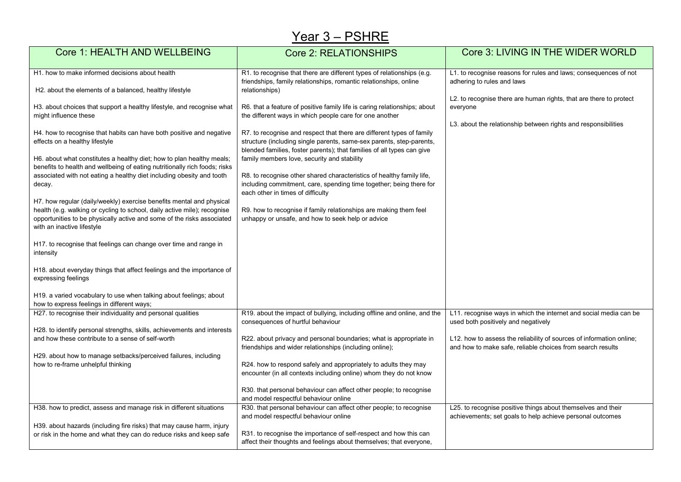## Year 3 - PSHRE

| Core 1: HEALTH AND WELLBEING                                                                                                                                                                                                                             | <b>Core 2: RELATIONSHIPS</b>                                                                                                                                                                                                                                                                               | Core 3: LIVING IN THE WIDER WORLD                                                                                                                |  |  |
|----------------------------------------------------------------------------------------------------------------------------------------------------------------------------------------------------------------------------------------------------------|------------------------------------------------------------------------------------------------------------------------------------------------------------------------------------------------------------------------------------------------------------------------------------------------------------|--------------------------------------------------------------------------------------------------------------------------------------------------|--|--|
| H1, how to make informed decisions about health<br>H2. about the elements of a balanced, healthy lifestyle                                                                                                                                               | R1. to recognise that there are different types of relationships (e.g.<br>friendships, family relationships, romantic relationships, online<br>relationships)                                                                                                                                              | L1. to recognise reasons for rules and laws; consequences of not<br>adhering to rules and laws                                                   |  |  |
| H3. about choices that support a healthy lifestyle, and recognise what<br>might influence these<br>H4. how to recognise that habits can have both positive and negative<br>effects on a healthy lifestyle                                                | R6. that a feature of positive family life is caring relationships; about<br>the different ways in which people care for one another<br>R7. to recognise and respect that there are different types of family<br>structure (including single parents, same-sex parents, step-parents,                      | L2. to recognise there are human rights, that are there to protect<br>everyone<br>L3. about the relationship between rights and responsibilities |  |  |
| H6. about what constitutes a healthy diet; how to plan healthy meals;<br>benefits to health and wellbeing of eating nutritionally rich foods; risks<br>associated with not eating a healthy diet including obesity and tooth<br>decay.                   | blended families, foster parents); that families of all types can give<br>family members love, security and stability<br>R8. to recognise other shared characteristics of healthy family life,<br>including commitment, care, spending time together; being there for<br>each other in times of difficulty |                                                                                                                                                  |  |  |
| H7. how regular (daily/weekly) exercise benefits mental and physical<br>health (e.g. walking or cycling to school, daily active mile); recognise<br>opportunities to be physically active and some of the risks associated<br>with an inactive lifestyle | R9. how to recognise if family relationships are making them feel<br>unhappy or unsafe, and how to seek help or advice                                                                                                                                                                                     |                                                                                                                                                  |  |  |
| H17, to recognise that feelings can change over time and range in<br>intensity                                                                                                                                                                           |                                                                                                                                                                                                                                                                                                            |                                                                                                                                                  |  |  |
| H18. about everyday things that affect feelings and the importance of<br>expressing feelings                                                                                                                                                             |                                                                                                                                                                                                                                                                                                            |                                                                                                                                                  |  |  |
| H19. a varied vocabulary to use when talking about feelings; about<br>how to express feelings in different ways;                                                                                                                                         |                                                                                                                                                                                                                                                                                                            |                                                                                                                                                  |  |  |
| H27. to recognise their individuality and personal qualities                                                                                                                                                                                             | R19. about the impact of bullying, including offline and online, and the<br>consequences of hurtful behaviour                                                                                                                                                                                              | L11. recognise ways in which the internet and social media can be<br>used both positively and negatively                                         |  |  |
| H28. to identify personal strengths, skills, achievements and interests<br>and how these contribute to a sense of self-worth                                                                                                                             | R22. about privacy and personal boundaries; what is appropriate in<br>friendships and wider relationships (including online);                                                                                                                                                                              | L12. how to assess the reliability of sources of information online;<br>and how to make safe, reliable choices from search results               |  |  |
| H29. about how to manage setbacks/perceived failures, including<br>how to re-frame unhelpful thinking                                                                                                                                                    | R24. how to respond safely and appropriately to adults they may<br>encounter (in all contexts including online) whom they do not know                                                                                                                                                                      |                                                                                                                                                  |  |  |
|                                                                                                                                                                                                                                                          | R30. that personal behaviour can affect other people; to recognise<br>and model respectful behaviour online                                                                                                                                                                                                |                                                                                                                                                  |  |  |
| H38. how to predict, assess and manage risk in different situations                                                                                                                                                                                      | R30. that personal behaviour can affect other people; to recognise<br>and model respectful behaviour online                                                                                                                                                                                                | L25. to recognise positive things about themselves and their<br>achievements; set goals to help achieve personal outcomes                        |  |  |
| H39. about hazards (including fire risks) that may cause harm, injury<br>or risk in the home and what they can do reduce risks and keep safe                                                                                                             | R31, to recognise the importance of self-respect and how this can<br>affect their thoughts and feelings about themselves; that everyone,                                                                                                                                                                   |                                                                                                                                                  |  |  |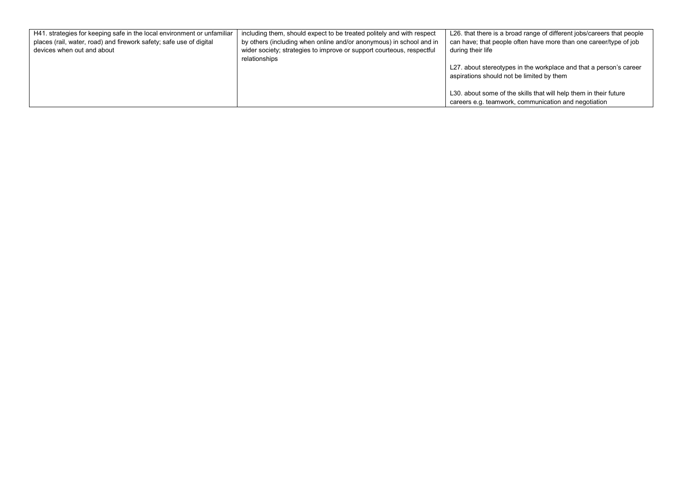| H41. strategies for keeping safe in the local environment or unfamiliar | including them, should expect to be treated politely and with respect | L26. that there is a broad range of different jobs/careers that people |
|-------------------------------------------------------------------------|-----------------------------------------------------------------------|------------------------------------------------------------------------|
| places (rail, water, road) and firework safety; safe use of digital     | by others (including when online and/or anonymous) in school and in   | can have; that people often have more than one career/type of job      |
| devices when out and about                                              | wider society; strategies to improve or support courteous, respectful | during their life                                                      |
|                                                                         | relationships                                                         |                                                                        |
|                                                                         |                                                                       | L27. about stereotypes in the workplace and that a person's career     |
|                                                                         |                                                                       | aspirations should not be limited by them                              |
|                                                                         |                                                                       |                                                                        |
|                                                                         |                                                                       | L30, about some of the skills that will help them in their future      |
|                                                                         |                                                                       | careers e.g. teamwork, communication and negotiation                   |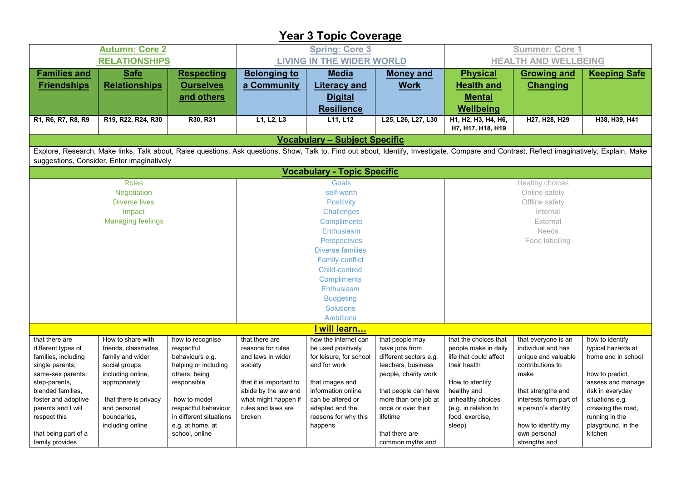## **Year 3 Topic Coverage**

| <b>Autumn: Core 2</b>                  |                                                                                                                                                                                             |                                                 |                                  | <b>Spring: Core 3</b>                   |                                              | <b>Summer: Core 1</b>                    |                                         |                                      |  |
|----------------------------------------|---------------------------------------------------------------------------------------------------------------------------------------------------------------------------------------------|-------------------------------------------------|----------------------------------|-----------------------------------------|----------------------------------------------|------------------------------------------|-----------------------------------------|--------------------------------------|--|
|                                        | <b>RELATIONSHIPS</b>                                                                                                                                                                        |                                                 |                                  | <b>LIVING IN THE WIDER WORLD</b>        |                                              |                                          | <b>HEALTH AND WELLBEING</b>             |                                      |  |
| <b>Families and</b>                    | <b>Safe</b>                                                                                                                                                                                 | <b>Respecting</b>                               | <b>Belonging to</b>              | <b>Media</b>                            | <b>Money and</b>                             | <b>Physical</b>                          | <b>Growing and</b>                      | <b>Keeping Safe</b>                  |  |
| <b>Friendships</b>                     | <b>Relationships</b>                                                                                                                                                                        | <b>Ourselves</b>                                | a Community                      | <b>Literacy and</b>                     | <b>Work</b>                                  | <b>Health and</b>                        | <b>Changing</b>                         |                                      |  |
|                                        |                                                                                                                                                                                             | and others                                      |                                  | <b>Digital</b>                          |                                              | <b>Mental</b>                            |                                         |                                      |  |
|                                        |                                                                                                                                                                                             |                                                 |                                  | <b>Resilience</b>                       |                                              | Wellbeing                                |                                         |                                      |  |
| R1, R6, R7, R8, R9                     | R19, R22, R24, R30                                                                                                                                                                          | R30, R31                                        | L1, L2, L3                       | L11, L12                                | L25, L26, L27, L30                           | Н1, Н2, Н3, Н4, Н6,<br>H7, H17, H18, H19 | H27, H28, H29                           | H38, H39, H41                        |  |
|                                        |                                                                                                                                                                                             |                                                 |                                  | <b>Vocabulary - Subject Specific</b>    |                                              |                                          |                                         |                                      |  |
|                                        | Explore, Research, Make links, Talk about, Raise questions, Ask questions, Show, Talk to, Find out about, Identify, Investigate, Compare and Contrast, Reflect imaginatively, Explain, Make |                                                 |                                  |                                         |                                              |                                          |                                         |                                      |  |
|                                        | suggestions, Consider, Enter imaginatively                                                                                                                                                  |                                                 |                                  |                                         |                                              |                                          |                                         |                                      |  |
|                                        |                                                                                                                                                                                             |                                                 |                                  | <b>Vocabulary - Topic Specific</b>      |                                              |                                          |                                         |                                      |  |
|                                        | <b>Roles</b>                                                                                                                                                                                |                                                 |                                  | <b>Goals</b>                            |                                              |                                          | Healthy choices                         |                                      |  |
|                                        | Negotiation                                                                                                                                                                                 |                                                 |                                  | self-worth                              |                                              |                                          | Online safety                           |                                      |  |
|                                        | <b>Diverse lives</b>                                                                                                                                                                        |                                                 |                                  | <b>Positivity</b>                       |                                              | Offline safety                           |                                         |                                      |  |
|                                        | Impact<br><b>Managing feelings</b>                                                                                                                                                          |                                                 |                                  | Internal<br>Challenges                  |                                              |                                          |                                         |                                      |  |
|                                        |                                                                                                                                                                                             |                                                 | <b>Compliments</b><br>Enthusiasm |                                         |                                              | External<br>Needs                        |                                         |                                      |  |
|                                        |                                                                                                                                                                                             |                                                 | Perspectives                     |                                         |                                              | Food labelling                           |                                         |                                      |  |
|                                        |                                                                                                                                                                                             |                                                 | <b>Diverse families</b>          |                                         |                                              |                                          |                                         |                                      |  |
|                                        |                                                                                                                                                                                             |                                                 | <b>Family conflict</b>           |                                         |                                              |                                          |                                         |                                      |  |
|                                        |                                                                                                                                                                                             |                                                 | <b>Child-centred</b>             |                                         |                                              |                                          |                                         |                                      |  |
|                                        |                                                                                                                                                                                             |                                                 | <b>Compliments</b>               |                                         |                                              |                                          |                                         |                                      |  |
|                                        |                                                                                                                                                                                             |                                                 | Enthusiasm                       |                                         |                                              |                                          |                                         |                                      |  |
|                                        |                                                                                                                                                                                             |                                                 | <b>Budgeting</b>                 |                                         |                                              |                                          |                                         |                                      |  |
|                                        |                                                                                                                                                                                             |                                                 | <b>Solutions</b>                 |                                         |                                              |                                          |                                         |                                      |  |
|                                        |                                                                                                                                                                                             |                                                 |                                  | <b>Ambitions</b>                        |                                              |                                          |                                         |                                      |  |
|                                        |                                                                                                                                                                                             |                                                 |                                  | <u>  will learn</u>                     |                                              |                                          |                                         |                                      |  |
| that there are                         | How to share with                                                                                                                                                                           | how to recognise                                | that there are                   | how the internet can                    | that people may                              | that the choices that                    | that everyone is an                     | how to identify                      |  |
| different types of                     | friends, classmates,                                                                                                                                                                        | respectful                                      | reasons for rules                | be used positively                      | have jobs from                               | people make in daily                     | individual and has                      | typical hazards at                   |  |
| families, including<br>single parents, | family and wider<br>social groups                                                                                                                                                           | behaviours e.g.<br>helping or including         | and laws in wider<br>society     | for leisure, for school<br>and for work | different sectors e.g.<br>teachers, business | life that could affect<br>their health   | unique and valuable<br>contributions to | home and in school                   |  |
| same-sex parents,                      | including online,                                                                                                                                                                           | others, being                                   |                                  |                                         | people, charity work                         |                                          | make                                    | how to predict.                      |  |
| step-parents,                          | appropriately                                                                                                                                                                               | responsible                                     | that it is important to          | that images and                         |                                              | How to identify                          |                                         | assess and manage                    |  |
| blended families,                      |                                                                                                                                                                                             |                                                 | abide by the law and             | information online                      | that people can have                         | healthy and                              | that strengths and                      | risk in everyday                     |  |
| foster and adoptive                    | that there is privacy                                                                                                                                                                       | how to model                                    | what might happen if             | can be altered or                       | more than one job at                         | unhealthy choices                        | interests form part of                  | situations e.g.                      |  |
| parents and I will<br>respect this     | and personal<br>boundaries,                                                                                                                                                                 | respectful behaviour<br>in different situations | rules and laws are<br>broken     | adapted and the<br>reasons for why this | once or over their<br>lifetime               | (e.g. in relation to<br>food, exercise,  | a person's identity                     | crossing the road,<br>running in the |  |
|                                        | including online                                                                                                                                                                            | e.g. at home, at                                |                                  | happens                                 |                                              | sleep)                                   | how to identify my                      | playground, in the                   |  |
| that being part of a                   |                                                                                                                                                                                             | school, online                                  |                                  |                                         | that there are                               |                                          | own personal                            | kitchen                              |  |
| family provides                        |                                                                                                                                                                                             |                                                 |                                  |                                         | common myths and                             |                                          | strengths and                           |                                      |  |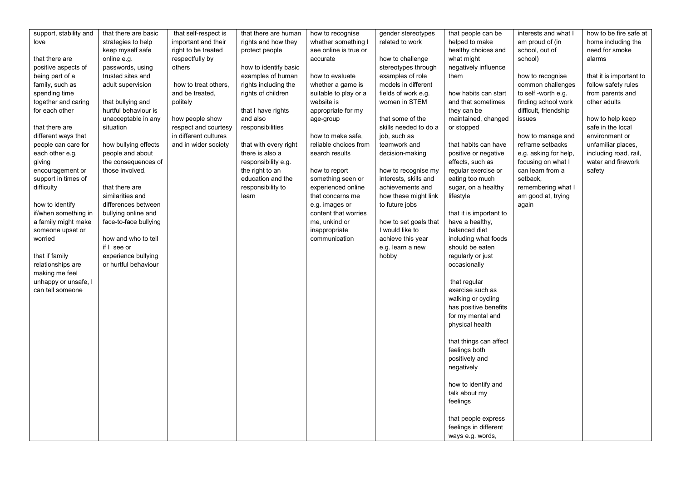| support, stability and | that there are basic  | that self-respect is  | that there are human  | how to recognise      | gender stereotypes    | that people can be      | interests and what I  | how to be fire safe at  |
|------------------------|-----------------------|-----------------------|-----------------------|-----------------------|-----------------------|-------------------------|-----------------------|-------------------------|
| love                   | strategies to help    | important and their   | rights and how they   | whether something I   | related to work       | helped to make          | am proud of (in       | home including the      |
|                        | keep myself safe      | right to be treated   | protect people        | see online is true or |                       | healthy choices and     | school, out of        | need for smoke          |
| that there are         | online e.g.           | respectfully by       |                       | accurate              | how to challenge      | what might              | school)               | alarms                  |
| positive aspects of    | passwords, using      | others                | how to identify basic |                       | stereotypes through   | negatively influence    |                       |                         |
| being part of a        | trusted sites and     |                       | examples of human     | how to evaluate       | examples of role      | them                    | how to recognise      | that it is important to |
| family, such as        | adult supervision     | how to treat others.  | rights including the  | whether a game is     | models in different   |                         | common challenges     | follow safety rules     |
| spending time          |                       | and be treated,       | rights of children    | suitable to play or a | fields of work e.g.   | how habits can start    | to self-worth e.g.    | from parents and        |
| together and caring    | that bullying and     | politely              |                       | website is            | women in STEM         | and that sometimes      | finding school work   | other adults            |
| for each other         | hurtful behaviour is  |                       | that I have rights    | appropriate for my    |                       | they can be             | difficult, friendship |                         |
|                        | unacceptable in any   | how people show       | and also              | age-group             | that some of the      | maintained, changed     | issues                | how to help keep        |
| that there are         | situation             | respect and courtesy  | responsibilities      |                       | skills needed to do a | or stopped              |                       | safe in the local       |
| different ways that    |                       | in different cultures |                       | how to make safe.     | job, such as          |                         | how to manage and     | environment or          |
| people can care for    | how bullying effects  | and in wider society  | that with every right | reliable choices from | teamwork and          | that habits can have    | reframe setbacks      | unfamiliar places,      |
| each other e.g.        | people and about      |                       | there is also a       | search results        | decision-making       | positive or negative    | e.g. asking for help, | including road, rail,   |
| giving                 | the consequences of   |                       | responsibility e.g.   |                       |                       | effects, such as        | focusing on what I    | water and firework      |
| encouragement or       | those involved.       |                       | the right to an       | how to report         | how to recognise my   | regular exercise or     | can learn from a      | safety                  |
| support in times of    |                       |                       | education and the     | something seen or     | interests, skills and | eating too much         | setback,              |                         |
| difficulty             | that there are        |                       | responsibility to     | experienced online    | achievements and      | sugar, on a healthy     | remembering what I    |                         |
|                        | similarities and      |                       | learn                 | that concerns me      | how these might link  | lifestyle               | am good at, trying    |                         |
| how to identify        | differences between   |                       |                       | e.g. images or        | to future jobs        |                         | again                 |                         |
| if/when something in   | bullying online and   |                       |                       | content that worries  |                       | that it is important to |                       |                         |
| a family might make    | face-to-face bullying |                       |                       | me, unkind or         | how to set goals that | have a healthy,         |                       |                         |
| someone upset or       |                       |                       |                       | inappropriate         | I would like to       | balanced diet           |                       |                         |
| worried                | how and who to tell   |                       |                       | communication         | achieve this year     | including what foods    |                       |                         |
|                        | if I see or           |                       |                       |                       | e.g. learn a new      | should be eaten         |                       |                         |
| that if family         | experience bullying   |                       |                       |                       | hobby                 | regularly or just       |                       |                         |
| relationships are      | or hurtful behaviour  |                       |                       |                       |                       | occasionally            |                       |                         |
| making me feel         |                       |                       |                       |                       |                       |                         |                       |                         |
| unhappy or unsafe, I   |                       |                       |                       |                       |                       | that regular            |                       |                         |
| can tell someone       |                       |                       |                       |                       |                       | exercise such as        |                       |                         |
|                        |                       |                       |                       |                       |                       | walking or cycling      |                       |                         |
|                        |                       |                       |                       |                       |                       | has positive benefits   |                       |                         |
|                        |                       |                       |                       |                       |                       | for my mental and       |                       |                         |
|                        |                       |                       |                       |                       |                       | physical health         |                       |                         |
|                        |                       |                       |                       |                       |                       |                         |                       |                         |
|                        |                       |                       |                       |                       |                       | that things can affect  |                       |                         |
|                        |                       |                       |                       |                       |                       | feelings both           |                       |                         |
|                        |                       |                       |                       |                       |                       | positively and          |                       |                         |
|                        |                       |                       |                       |                       |                       | negatively              |                       |                         |
|                        |                       |                       |                       |                       |                       |                         |                       |                         |
|                        |                       |                       |                       |                       |                       | how to identify and     |                       |                         |
|                        |                       |                       |                       |                       |                       | talk about my           |                       |                         |
|                        |                       |                       |                       |                       |                       | feelings                |                       |                         |
|                        |                       |                       |                       |                       |                       |                         |                       |                         |
|                        |                       |                       |                       |                       |                       | that people express     |                       |                         |
|                        |                       |                       |                       |                       |                       | feelings in different   |                       |                         |
|                        |                       |                       |                       |                       |                       | ways e.g. words,        |                       |                         |